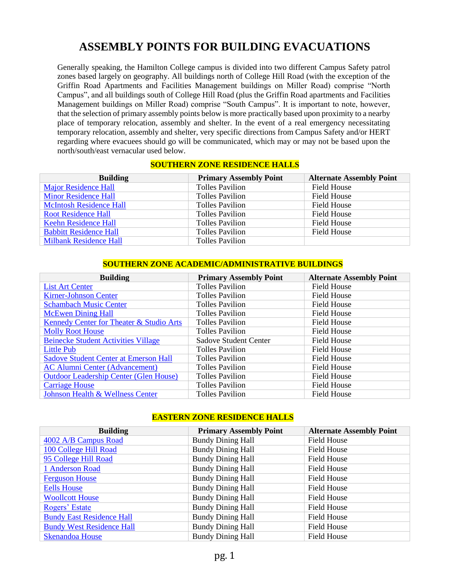# **ASSEMBLY POINTS FOR BUILDING EVACUATIONS**

Generally speaking, the Hamilton College campus is divided into two different Campus Safety patrol zones based largely on geography. All buildings north of College Hill Road (with the exception of the Griffin Road Apartments and Facilities Management buildings on Miller Road) comprise "North Campus", and all buildings south of College Hill Road (plus the Griffin Road apartments and Facilities Management buildings on Miller Road) comprise "South Campus". It is important to note, however, that the selection of primary assembly points below is more practically based upon proximity to a nearby place of temporary relocation, assembly and shelter. In the event of a real emergency necessitating temporary relocation, assembly and shelter, very specific directions from Campus Safety and/or HERT regarding where evacuees should go will be communicated, which may or may not be based upon the north/south/east vernacular used below.

#### **SOUTHERN ZONE RESIDENCE HALLS**

| <b>Building</b>                | <b>Primary Assembly Point</b> | <b>Alternate Assembly Point</b> |
|--------------------------------|-------------------------------|---------------------------------|
| <b>Major Residence Hall</b>    | <b>Tolles Pavilion</b>        | <b>Field House</b>              |
| <b>Minor Residence Hall</b>    | <b>Tolles Pavilion</b>        | Field House                     |
| <b>McIntosh Residence Hall</b> | <b>Tolles Pavilion</b>        | <b>Field House</b>              |
| <b>Root Residence Hall</b>     | <b>Tolles Pavilion</b>        | Field House                     |
| <b>Keehn Residence Hall</b>    | <b>Tolles Pavilion</b>        | Field House                     |
| <b>Babbitt Residence Hall</b>  | <b>Tolles Pavilion</b>        | <b>Field House</b>              |
| <b>Milbank Residence Hall</b>  | <b>Tolles Pavilion</b>        |                                 |

#### **SOUTHERN ZONE ACADEMIC/ADMINISTRATIVE BUILDINGS**

| <b>Building</b>                               | <b>Primary Assembly Point</b> | <b>Alternate Assembly Point</b> |
|-----------------------------------------------|-------------------------------|---------------------------------|
| <b>List Art Center</b>                        | <b>Tolles Pavilion</b>        | <b>Field House</b>              |
| <b>Kirner-Johnson Center</b>                  | <b>Tolles Pavilion</b>        | <b>Field House</b>              |
| <b>Schambach Music Center</b>                 | <b>Tolles Pavilion</b>        | <b>Field House</b>              |
| <b>McEwen Dining Hall</b>                     | <b>Tolles Pavilion</b>        | <b>Field House</b>              |
| Kennedy Center for Theater & Studio Arts      | <b>Tolles Pavilion</b>        | <b>Field House</b>              |
| <b>Molly Root House</b>                       | <b>Tolles Pavilion</b>        | <b>Field House</b>              |
| <b>Beinecke Student Activities Village</b>    | <b>Sadove Student Center</b>  | <b>Field House</b>              |
| Little Pub                                    | <b>Tolles Pavilion</b>        | <b>Field House</b>              |
| <b>Sadove Student Center at Emerson Hall</b>  | <b>Tolles Pavilion</b>        | <b>Field House</b>              |
| <b>AC Alumni Center (Advancement)</b>         | <b>Tolles Pavilion</b>        | <b>Field House</b>              |
| <b>Outdoor Leadership Center (Glen House)</b> | <b>Tolles Pavilion</b>        | <b>Field House</b>              |
| <b>Carriage House</b>                         | <b>Tolles Pavilion</b>        | <b>Field House</b>              |
| Johnson Health & Wellness Center              | <b>Tolles Pavilion</b>        | <b>Field House</b>              |

#### **EASTERN ZONE RESIDENCE HALLS**

| <b>Building</b>                  | <b>Primary Assembly Point</b> | <b>Alternate Assembly Point</b> |
|----------------------------------|-------------------------------|---------------------------------|
| 4002 A/B Campus Road             | <b>Bundy Dining Hall</b>      | <b>Field House</b>              |
| 100 College Hill Road            | <b>Bundy Dining Hall</b>      | Field House                     |
| 95 College Hill Road             | <b>Bundy Dining Hall</b>      | Field House                     |
| 1 Anderson Road                  | <b>Bundy Dining Hall</b>      | Field House                     |
| <b>Ferguson House</b>            | <b>Bundy Dining Hall</b>      | Field House                     |
| <b>Eells House</b>               | <b>Bundy Dining Hall</b>      | Field House                     |
| <b>Woollcott House</b>           | <b>Bundy Dining Hall</b>      | Field House                     |
| Rogers' Estate                   | <b>Bundy Dining Hall</b>      | Field House                     |
| <b>Bundy East Residence Hall</b> | <b>Bundy Dining Hall</b>      | Field House                     |
| <b>Bundy West Residence Hall</b> | <b>Bundy Dining Hall</b>      | <b>Field House</b>              |
| <b>Skenandoa House</b>           | <b>Bundy Dining Hall</b>      | Field House                     |